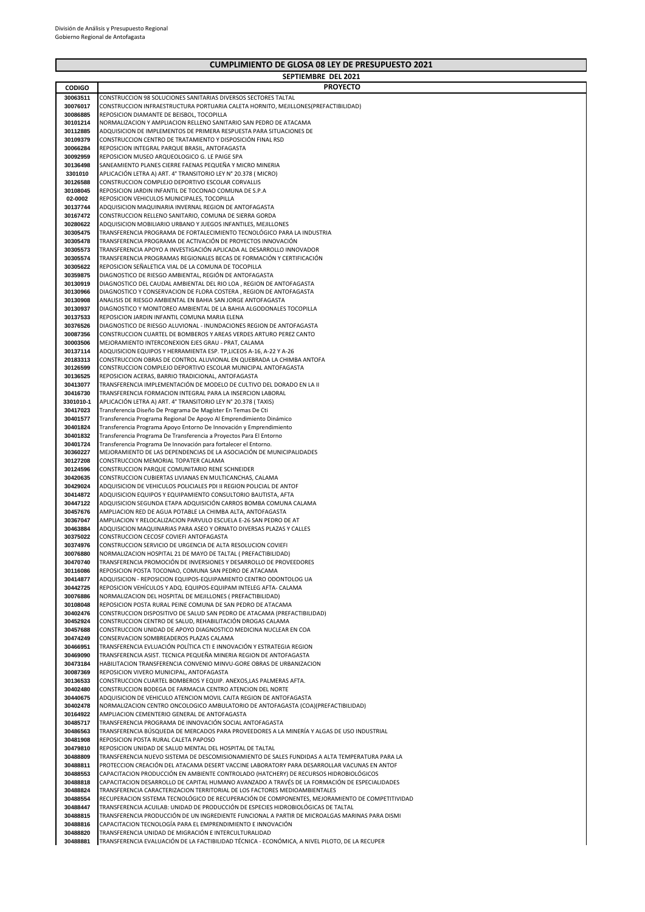|                      | SEPTIEMBRE DEL 2021                                                                                                                        |
|----------------------|--------------------------------------------------------------------------------------------------------------------------------------------|
| <b>CODIGO</b>        | <b>PROYECTO</b>                                                                                                                            |
| 30063511             | CONSTRUCCION 98 SOLUCIONES SANITARIAS DIVERSOS SECTORES TALTAL                                                                             |
| 30076017             | CONSTRUCCION INFRAESTRUCTURA PORTUARIA CALETA HORNITO, MEJILLONES(PREFACTIBILIDAD)                                                         |
| 30086885             | REPOSICION DIAMANTE DE BEISBOL, TOCOPILLA                                                                                                  |
| 30101214             | NORMALIZACION Y AMPLIACION RELLENO SANITARIO SAN PEDRO DE ATACAMA<br>ADQUISICION DE IMPLEMENTOS DE PRIMERA RESPUESTA PARA SITUACIONES DE   |
| 30112885<br>30109379 | CONSTRUCCION CENTRO DE TRATAMIENTO Y DISPOSICIÓN FINAL RSD                                                                                 |
| 30066284             | REPOSICION INTEGRAL PARQUE BRASIL, ANTOFAGASTA                                                                                             |
| 30092959             | REPOSICION MUSEO ARQUEOLOGICO G. LE PAIGE SPA                                                                                              |
| 30136498             | SANEAMIENTO PLANES CIERRE FAENAS PEQUEÑA Y MICRO MINERIA                                                                                   |
| 3301010              | APLICACIÓN LETRA A) ART. 4° TRANSITORIO LEY N° 20.378 (MICRO)                                                                              |
| 30126588             | CONSTRUCCION COMPLEJO DEPORTIVO ESCOLAR CORVALLIS                                                                                          |
| 30108045             | REPOSICION JARDIN INFANTIL DE TOCONAO COMUNA DE S.P.A                                                                                      |
| 02-0002              | REPOSICION VEHICULOS MUNICIPALES, TOCOPILLA                                                                                                |
| 30137744             | ADQUISICION MAQUINARIA INVERNAL REGION DE ANTOFAGASTA                                                                                      |
| 30167472             | CONSTRUCCION RELLENO SANITARIO, COMUNA DE SIERRA GORDA                                                                                     |
| 30280622<br>30305475 | ADQUISICION MOBILIARIO URBANO Y JUEGOS INFANTILES, MEJILLONES<br>TRANSFERENCIA PROGRAMA DE FORTALECIMIENTO TECNOLÓGICO PARA LA INDUSTRIA   |
| 30305478             | TRANSFERENCIA PROGRAMA DE ACTIVACIÓN DE PROYECTOS INNOVACIÓN                                                                               |
| 30305573             | TRANSFERENCIA APOYO A INVESTIGACIÓN APLICADA AL DESARROLLO INNOVADOR                                                                       |
| 30305574             | TRANSFERENCIA PROGRAMAS REGIONALES BECAS DE FORMACIÓN Y CERTIFICACIÓN                                                                      |
| 30305622             | REPOSICION SEÑALETICA VIAL DE LA COMUNA DE TOCOPILLA                                                                                       |
| 30359875             | DIAGNOSTICO DE RIESGO AMBIENTAL, REGIÓN DE ANTOFAGASTA                                                                                     |
| 30130919             | DIAGNOSTICO DEL CAUDAL AMBIENTAL DEL RIO LOA, REGION DE ANTOFAGASTA                                                                        |
| 30130966             | DIAGNOSTICO Y CONSERVACION DE FLORA COSTERA, REGION DE ANTOFAGASTA                                                                         |
| 30130908             | ANALISIS DE RIESGO AMBIENTAL EN BAHIA SAN JORGE ANTOFAGASTA                                                                                |
| 30130937             | DIAGNOSTICO Y MONITOREO AMBIENTAL DE LA BAHIA ALGODONALES TOCOPILLA                                                                        |
| 30137533<br>30376526 | REPOSICION JARDIN INFANTIL COMUNA MARIA ELENA<br>DIAGNOSTICO DE RIESGO ALUVIONAL - INUNDACIONES REGION DE ANTOFAGASTA                      |
| 30087356             | CONSTRUCCION CUARTEL DE BOMBEROS Y AREAS VERDES ARTURO PEREZ CANTO                                                                         |
| 30003506             | MEJORAMIENTO INTERCONEXION EJES GRAU - PRAT, CALAMA                                                                                        |
| 30137114             | ADQUISICION EQUIPOS Y HERRAMIENTA ESP. TP,LICEOS A-16, A-22 Y A-26                                                                         |
| 20183313             | CONSTRUCCION OBRAS DE CONTROL ALUVIONAL EN QUEBRADA LA CHIMBA ANTOFA                                                                       |
| 30126599             | CONSTRUCCION COMPLEJO DEPORTIVO ESCOLAR MUNICIPAL ANTOFAGASTA                                                                              |
| 30136525             | REPOSICION ACERAS, BARRIO TRADICIONAL, ANTOFAGASTA                                                                                         |
| 30413077             | TRANSFERENCIA IMPLEMENTACIÓN DE MODELO DE CULTIVO DEL DORADO EN LA II                                                                      |
| 30416730             | TRANSFERENCIA FORMACION INTEGRAL PARA LA INSERCION LABORAL                                                                                 |
| 3301010-1            | APLICACIÓN LETRA A) ART. 4º TRANSITORIO LEY Nº 20.378 ( TAXIS)                                                                             |
| 30417023<br>30401577 | Transferencia Diseño De Programa De Magíster En Temas De Cti<br>Transferencia Programa Regional De Apoyo Al Emprendimiento Dinámico        |
| 30401824             | Transferencia Programa Apoyo Entorno De Innovación y Emprendimiento                                                                        |
| 30401832             | Transferencia Programa De Transferencia a Proyectos Para El Entorno                                                                        |
| 30401724             | Transferencia Programa De Innovación para fortalecer el Entorno.                                                                           |
| 30360227             | MEJORAMIENTO DE LAS DEPENDENCIAS DE LA ASOCIACIÓN DE MUNICIPALIDADES                                                                       |
| 30127208             | CONSTRUCCION MEMORIAL TOPATER CALAMA                                                                                                       |
| 30124596             | CONSTRUCCION PARQUE COMUNITARIO RENE SCHNEIDER                                                                                             |
| 30420635             | CONSTRUCCION CUBIERTAS LIVIANAS EN MULTICANCHAS, CALAMA                                                                                    |
| 30429024             | ADQUISICION DE VEHICULOS POLICIALES PDI II REGION POLICIAL DE ANTOF                                                                        |
| 30414872             | ADQUISICION EQUIPOS Y EQUIPAMIENTO CONSULTORIO BAUTISTA, AFTA                                                                              |
| 30447122<br>30457676 | ADQUISICION SEGUNDA ETAPA ADQUISICIÓN CARROS BOMBA COMUNA CALAMA<br>AMPLIACION RED DE AGUA POTABLE LA CHIMBA ALTA, ANTOFAGASTA             |
| 30367047             | AMPLIACION Y RELOCALIZACION PARVULO ESCUELA E-26 SAN PEDRO DE AT                                                                           |
| 30463884             | ADQUISICION MAQUINARIAS PARA ASEO Y ORNATO DIVERSAS PLAZAS Y CALLES                                                                        |
| 30375022             | CONSTRUCCION CECOSF COVIEFI ANTOFAGASTA                                                                                                    |
| 30374976             | CONSTRUCCION SERVICIO DE URGENCIA DE ALTA RESOLUCION COVIEFI                                                                               |
| 30076880             | NORMALIZACION HOSPITAL 21 DE MAYO DE TALTAL ( PREFACTIBILIDAD)                                                                             |
| 30470740             | TRANSFERENCIA PROMOCIÓN DE INVERSIONES Y DESARROLLO DE PROVEEDORES                                                                         |
| 30116086<br>30414877 | REPOSICION POSTA TOCONAO, COMUNA SAN PEDRO DE ATACAMA                                                                                      |
| 30442725             | ADQUISICION - REPOSICION EQUIPOS-EQUIPAMIENTO CENTRO ODONTOLOG UA<br>REPOSICION VEHÍCULOS Y ADQ. EQUIPOS-EQUIPAM INTELEG AFTA- CALAMA      |
| 30076886             | NORMALIZACION DEL HOSPITAL DE MEJILLONES ( PREFACTIBILIDAD)                                                                                |
| 30108048             | REPOSICION POSTA RURAL PEINE COMUNA DE SAN PEDRO DE ATACAMA                                                                                |
| 30402476             | CONSTRUCCION DISPOSITIVO DE SALUD SAN PEDRO DE ATACAMA (PREFACTIBILIDAD)                                                                   |
| 30452924             | CONSTRUCCION CENTRO DE SALUD, REHABILITACIÓN DROGAS CALAMA                                                                                 |
| 30457688             | CONSTRUCCION UNIDAD DE APOYO DIAGNOSTICO MEDICINA NUCLEAR EN COA                                                                           |
| 30474249             | CONSERVACION SOMBREADEROS PLAZAS CALAMA                                                                                                    |
| 30466951             | TRANSFERENCIA EVLUACIÓN POLÍTICA CTI E INNOVACIÓN Y ESTRATEGIA REGION                                                                      |
| 30469090<br>30473184 | TRANSFERENCIA ASIST. TECNICA PEQUEÑA MINERIA REGION DE ANTOFAGASTA<br>HABILITACION TRANSFERENCIA CONVENIO MINVU-GORE OBRAS DE URBANIZACION |
| 30087369             | REPOSICION VIVERO MUNICIPAL, ANTOFAGASTA                                                                                                   |
| 30136533             | CONSTRUCCION CUARTEL BOMBEROS Y EQUIP. ANEXOS,LAS PALMERAS AFTA.                                                                           |
| 30402480             | CONSTRUCCION BODEGA DE FARMACIA CENTRO ATENCION DEL NORTE                                                                                  |
| 30440675             | ADQUISICION DE VEHICULO ATENCION MOVIL CAJTA REGION DE ANTOFAGASTA                                                                         |
| 30402478             | NORMALIZACION CENTRO ONCOLOGICO AMBULATORIO DE ANTOFAGASTA (COA)(PREFACTIBILIDAD)                                                          |
| 30164922             | AMPLIACION CEMENTERIO GENERAL DE ANTOFAGASTA                                                                                               |
| 30485717             | TRANSFERENCIA PROGRAMA DE INNOVACIÓN SOCIAL ANTOFAGASTA                                                                                    |
| 30486563             | TRANSFERENCIA BÚSQUEDA DE MERCADOS PARA PROVEEDORES A LA MINERÍA Y ALGAS DE USO INDUSTRIAL                                                 |
| 30481908<br>30479810 | REPOSICION POSTA RURAL CALETA PAPOSO<br>REPOSICION UNIDAD DE SALUD MENTAL DEL HOSPITAL DE TALTAL                                           |
| 30488809             | TRANSFERENCIA NUEVO SISTEMA DE DESCOMISIONAMIENTO DE SALES FUNDIDAS A ALTA TEMPERATURA PARA LA                                             |
| 30488811             | PROTECCION CREACIÓN DEL ATACAMA DESERT VACCINE LABORATORY PARA DESARROLLAR VACUNAS EN ANTOF                                                |
| 30488553             | CAPACITACION PRODUCCIÓN EN AMBIENTE CONTROLADO (HATCHERY) DE RECURSOS HIDROBIOLÓGICOS                                                      |
| 30488818             | CAPACITACION DESARROLLO DE CAPITAL HUMANO AVANZADO A TRAVÉS DE LA FORMACIÓN DE ESPECIALIDADES                                              |
| 30488824             | TRANSFERENCIA CARACTERIZACION TERRITORIAL DE LOS FACTORES MEDIOAMBIENTALES                                                                 |
| 30488554             | RECUPERACION SISTEMA TECNOLÓGICO DE RECUPERACIÓN DE COMPONENTES, MEJORAMIENTO DE COMPETITIVIDAD                                            |
| 30488447             | TRANSFERENCIA ACUILAB: UNIDAD DE PRODUCCIÓN DE ESPECIES HIDROBIOLÓGICAS DE TALTAL                                                          |
| 30488815             | TRANSFERENCIA PRODUCCIÓN DE UN INGREDIENTE FUNCIONAL A PARTIR DE MICROALGAS MARINAS PARA DISMI                                             |
| 30488816<br>30488820 | CAPACITACION TECNOLOGÍA PARA EL EMPRENDIMIENTO E INNOVACIÓN<br>TRANSFERENCIA UNIDAD DE MIGRACIÓN E INTERCULTURALIDAD                       |
| 30488881             | TRANSFERENCIA EVALUACIÓN DE LA FACTIBILIDAD TÉCNICA - ECONÓMICA, A NIVEL PILOTO, DE LA RECUPER                                             |
|                      |                                                                                                                                            |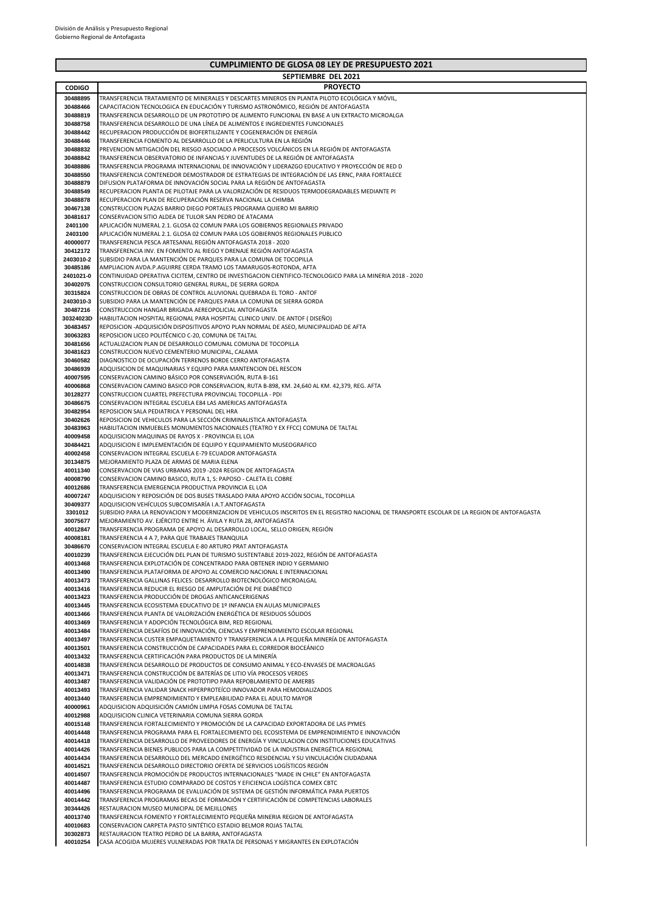|                      | SEPTIEMBRE DEL 2021                                                                                                                                                                                             |
|----------------------|-----------------------------------------------------------------------------------------------------------------------------------------------------------------------------------------------------------------|
| <b>CODIGO</b>        | <b>PROYECTO</b>                                                                                                                                                                                                 |
| 30488895             | TRANSFERENCIA TRATAMIENTO DE MINERALES Y DESCARTES MINEROS EN PLANTA PILOTO ECOLÓGICA Y MÓVIL,                                                                                                                  |
| 30488466             | CAPACITACION TECNOLOGICA EN EDUCACIÓN Y TURISMO ASTRONÓMICO, REGIÓN DE ANTOFAGASTA                                                                                                                              |
| 30488819             | TRANSFERENCIA DESARROLLO DE UN PROTOTIPO DE ALIMENTO FUNCIONAL EN BASE A UN EXTRACTO MICROALGA                                                                                                                  |
| 30488758             | TRANSFERENCIA DESARROLLO DE UNA LÍNEA DE ALIMENTOS E INGREDIENTES FUNCIONALES                                                                                                                                   |
| 30488442             | RECUPERACION PRODUCCIÓN DE BIOFERTILIZANTE Y COGENERACIÓN DE ENERGÍA                                                                                                                                            |
| 30488446             | TRANSFERENCIA FOMENTO AL DESARROLLO DE LA PERLICULTURA EN LA REGIÓN                                                                                                                                             |
| 30488832             | PREVENCION MITIGACIÓN DEL RIESGO ASOCIADO A PROCESOS VOLCÁNICOS EN LA REGIÓN DE ANTOFAGASTA                                                                                                                     |
| 30488842             | TRANSFERENCIA OBSERVATORIO DE INFANCIAS Y JUVENTUDES DE LA REGIÓN DE ANTOFAGASTA                                                                                                                                |
| 30488886             | TRANSFERENCIA PROGRAMA INTERNACIONAL DE INNOVACIÓN Y LIDERAZGO EDUCATIVO Y PROYECCIÓN DE RED D                                                                                                                  |
| 30488550<br>30488879 | TRANSFERENCIA CONTENEDOR DEMOSTRADOR DE ESTRATEGIAS DE INTEGRACIÓN DE LAS ERNC, PARA FORTALECE<br>DIFUSION PLATAFORMA DE INNOVACIÓN SOCIAL PARA LA REGIÓN DE ANTOFAGASTA                                        |
| 30488549             | RECUPERACION PLANTA DE PILOTAJE PARA LA VALORIZACIÓN DE RESIDUOS TERMODEGRADABLES MEDIANTE PI                                                                                                                   |
| 30488878             | RECUPERACION PLAN DE RECUPERACIÓN RESERVA NACIONAL LA CHIMBA                                                                                                                                                    |
| 30467138             | CONSTRUCCION PLAZAS BARRIO DIEGO PORTALES PROGRAMA QUIERO MI BARRIO                                                                                                                                             |
| 30481617             | CONSERVACION SITIO ALDEA DE TULOR SAN PEDRO DE ATACAMA                                                                                                                                                          |
| 2401100              | APLICACIÓN NUMERAL 2.1. GLOSA 02 COMUN PARA LOS GOBIERNOS REGIONALES PRIVADO                                                                                                                                    |
| 2403100              | APLICACIÓN NUMERAL 2.1. GLOSA 02 COMUN PARA LOS GOBIERNOS REGIONALES PUBLICO                                                                                                                                    |
| 40000077             | TRANSFERENCIA PESCA ARTESANAL REGIÓN ANTOFAGASTA 2018 - 2020                                                                                                                                                    |
| 30412172             | TRANSFERENCIA INV. EN FOMENTO AL RIEGO Y DRENAJE REGIÓN ANTOFAGASTA                                                                                                                                             |
| 2403010-2            | SUBSIDIO PARA LA MANTENCIÓN DE PARQUES PARA LA COMUNA DE TOCOPILLA                                                                                                                                              |
| 30485186             | AMPLIACION AVDA.P.AGUIRRE CERDA TRAMO LOS TAMARUGOS-ROTONDA, AFTA                                                                                                                                               |
| 2401021-0            | CONTINUIDAD OPERATIVA CICITEM, CENTRO DE INVESTIGACION CIENTIFICO-TECNOLOGICO PARA LA MINERIA 2018 - 2020                                                                                                       |
| 30402075             | CONSTRUCCION CONSULTORIO GENERAL RURAL, DE SIERRA GORDA                                                                                                                                                         |
| 30315824             | CONSTRUCCION DE OBRAS DE CONTROL ALUVIONAL QUEBRADA EL TORO - ANTOF                                                                                                                                             |
| 2403010-3            | SUBSIDIO PARA LA MANTENCIÓN DE PARQUES PARA LA COMUNA DE SIERRA GORDA                                                                                                                                           |
| 30487216             | CONSTRUCCION HANGAR BRIGADA AEREOPOLICIAL ANTOFAGASTA                                                                                                                                                           |
| 30324023D            | HABILITACION HOSPITAL REGIONAL PARA HOSPITAL CLINICO UNIV. DE ANTOF (DISEÑO)                                                                                                                                    |
| 30483457             | REPOSICION -ADQUISICIÓN DISPOSITIVOS APOYO PLAN NORMAL DE ASEO, MUNICIPALIDAD DE AFTA                                                                                                                           |
| 30063283             | REPOSICION LICEO POLITÉCNICO C-20, COMUNA DE TALTAL                                                                                                                                                             |
| 30481656             | ACTUALIZACION PLAN DE DESARROLLO COMUNAL COMUNA DE TOCOPILLA<br>CONSTRUCCION NUEVO CEMENTERIO MUNICIPAL, CALAMA                                                                                                 |
| 30481623<br>30460582 | DIAGNOSTICO DE OCUPACIÓN TERRENOS BORDE CERRO ANTOFAGASTA                                                                                                                                                       |
| 30486939             | ADQUISICION DE MAQUINARIAS Y EQUIPO PARA MANTENCION DEL RESCON                                                                                                                                                  |
| 40007595             | CONSERVACION CAMINO BÁSICO POR CONSERVACIÓN, RUTA B-161                                                                                                                                                         |
| 40006868             | CONSERVACION CAMINO BASICO POR CONSERVACION, RUTA B-898, KM. 24,640 AL KM. 42,379, REG. AFTA                                                                                                                    |
| 30128277             | CONSTRUCCION CUARTEL PREFECTURA PROVINCIAL TOCOPILLA - PDI                                                                                                                                                      |
| 30486675             | CONSERVACION INTEGRAL ESCUELA E84 LAS AMERICAS ANTOFAGASTA                                                                                                                                                      |
| 30482954             | REPOSICION SALA PEDIATRICA Y PERSONAL DEL HRA                                                                                                                                                                   |
| 30402626             | REPOSICION DE VEHICULOS PARA LA SECCIÓN CRIMINALISTICA ANTOFAGASTA                                                                                                                                              |
| 30483963             | HABILITACION INMUEBLES MONUMENTOS NACIONALES (TEATRO Y EX FFCC) COMUNA DE TALTAL                                                                                                                                |
| 40009458             | ADQUISICION MAQUINAS DE RAYOS X - PROVINCIA EL LOA                                                                                                                                                              |
| 30484421             | ADQUISICION E IMPLEMENTACIÓN DE EQUIPO Y EQUIPAMIENTO MUSEOGRAFICO                                                                                                                                              |
| 40002458             | CONSERVACION INTEGRAL ESCUELA E-79 ECUADOR ANTOFAGASTA                                                                                                                                                          |
| 30134875             | MEJORAMIENTO PLAZA DE ARMAS DE MARIA ELENA                                                                                                                                                                      |
| 40011340             | CONSERVACION DE VIAS URBANAS 2019 -2024 REGION DE ANTOFAGASTA                                                                                                                                                   |
| 40008790             | CONSERVACION CAMINO BASICO, RUTA 1, S: PAPOSO - CALETA EL COBRE                                                                                                                                                 |
| 40012686             | TRANSFERENCIA EMERGENCIA PRODUCTIVA PROVINCIA EL LOA                                                                                                                                                            |
| 40007247             | ADQUISICION Y REPOSICIÓN DE DOS BUSES TRASLADO PARA APOYO ACCIÓN SOCIAL, TOCOPILLA                                                                                                                              |
| 30409377             | ADQUISICION VEHÍCULOS SUBCOMISARÍA I.A.T.ANTOFAGASTA                                                                                                                                                            |
| 3301012<br>30075677  | SUBSIDIO PARA LA RENOVACION Y MODERNIZACION DE VEHICULOS INSCRITOS EN EL REGISTRO NACIONAL DE TRANSPORTE ESCOLAR DE LA REGION DE ANTOFAGASTA<br>MEJORAMIENTO AV. EJÉRCITO ENTRE H. ÁVILA Y RUTA 28, ANTOFAGASTA |
| 40012847             | TRANSFERENCIA PROGRAMA DE APOYO AL DESARROLLO LOCAL, SELLO ORIGEN, REGIÓN                                                                                                                                       |
| 40008181             | TRANSFERENCIA 4 A 7, PARA QUE TRABAJES TRANQUILA                                                                                                                                                                |
| 30486670             | CONSERVACION INTEGRAL ESCUELA E-80 ARTURO PRAT ANTOFAGASTA                                                                                                                                                      |
| 40010239             | TRANSFERENCIA EJECUCIÓN DEL PLAN DE TURISMO SUSTENTABLE 2019-2022, REGIÓN DE ANTOFAGASTA                                                                                                                        |
| 40013468             | TRANSFERENCIA EXPLOTACIÓN DE CONCENTRADO PARA OBTENER INDIO Y GERMANIO                                                                                                                                          |
| 40013490             | TRANSFERENCIA PLATAFORMA DE APOYO AL COMERCIO NACIONAL E INTERNACIONAL                                                                                                                                          |
| 40013473             | TRANSFERENCIA GALLINAS FELICES: DESARROLLO BIOTECNOLÓGICO MICROALGAL                                                                                                                                            |
| 40013416             | TRANSFERENCIA REDUCIR EL RIESGO DE AMPUTACIÓN DE PIE DIABÉTICO                                                                                                                                                  |
| 40013423             | TRANSFERENCIA PRODUCCIÓN DE DROGAS ANTICANCERIGENAS                                                                                                                                                             |
| 40013445             | TRANSFERENCIA ECOSISTEMA EDUCATIVO DE 1º INFANCIA EN AULAS MUNICIPALES                                                                                                                                          |
| 40013466             | TRANSFERENCIA PLANTA DE VALORIZACIÓN ENERGÉTICA DE RESIDUOS SÓLIDOS                                                                                                                                             |
| 40013469             | TRANSFERENCIA Y ADOPCIÓN TECNOLÓGICA BIM, RED REGIONAL                                                                                                                                                          |
| 40013484             | TRANSFERENCIA DESAFÍOS DE INNOVACIÓN, CIENCIAS Y EMPRENDIMIENTO ESCOLAR REGIONAL                                                                                                                                |
| 40013497             | TRANSFERENCIA CUSTER EMPAQUETAMIENTO Y TRANSFERENCIA A LA PEQUEÑA MINERÍA DE ANTOFAGASTA<br>TRANSFERENCIA CONSTRUCCIÓN DE CAPACIDADES PARA EL CORREDOR BIOCEÁNICO                                               |
| 40013501<br>40013432 | TRANSFERENCIA CERTIFICACIÓN PARA PRODUCTOS DE LA MINERÍA                                                                                                                                                        |
| 40014838             | TRANSFERENCIA DESARROLLO DE PRODUCTOS DE CONSUMO ANIMAL Y ECO-ENVASES DE MACROALGAS                                                                                                                             |
| 40013471             | TRANSFERENCIA CONSTRUCCIÓN DE BATERÍAS DE LITIO VÍA PROCESOS VERDES                                                                                                                                             |
| 40013487             | TRANSFERENCIA VALIDACIÓN DE PROTOTIPO PARA REPOBLAMIENTO DE AMERBS                                                                                                                                              |
| 40013493             | TRANSFERENCIA VALIDAR SNACK HIPERPROTEICO INNOVADOR PARA HEMODIALIZADOS                                                                                                                                         |
| 40013440             | TRANSFERENCIA EMPRENDIMIENTO Y EMPLEABILIDAD PARA EL ADULTO MAYOR                                                                                                                                               |
| 40000961             | ADQUISICION ADQUISICIÓN CAMIÓN LIMPIA FOSAS COMUNA DE TALTAL                                                                                                                                                    |
| 40012988             | ADQUISICION CLINICA VETERINARIA COMUNA SIERRA GORDA                                                                                                                                                             |
| 40015148             | TRANSFERENCIA FORTALECIMIENTO Y PROMOCIÓN DE LA CAPACIDAD EXPORTADORA DE LAS PYMES                                                                                                                              |
| 40014448             | TRANSFERENCIA PROGRAMA PARA EL FORTALECIMIENTO DEL ECOSISTEMA DE EMPRENDIMIENTO E INNOVACIÓN                                                                                                                    |
| 40014418             | TRANSFERENCIA DESARROLLO DE PROVEEDORES DE ENERGÍA Y VINCULACION CON INSTITUCIONES EDUCATIVAS                                                                                                                   |
| 40014426             | TRANSFERENCIA BIENES PUBLICOS PARA LA COMPETITIVIDAD DE LA INDUSTRIA ENERGÉTICA REGIONAL                                                                                                                        |
| 40014434             | TRANSFERENCIA DESARROLLO DEL MERCADO ENERGÉTICO RESIDENCIAL Y SU VINCULACIÓN CIUDADANA                                                                                                                          |
| 40014521             | TRANSFERENCIA DESARROLLO DIRECTORIO OFERTA DE SERVICIOS LOGÍSTICOS REGIÓN                                                                                                                                       |
| 40014507             | TRANSFERENCIA PROMOCIÓN DE PRODUCTOS INTERNACIONALES "MADE IN CHILE" EN ANTOFAGASTA                                                                                                                             |
| 40014487             | TRANSFERENCIA ESTUDIO COMPARADO DE COSTOS Y EFICIENCIA LOGÍSTICA COMEX CBTC                                                                                                                                     |
| 40014496             | TRANSFERENCIA PROGRAMA DE EVALUACIÓN DE SISTEMA DE GESTIÓN INFORMÁTICA PARA PUERTOS                                                                                                                             |
| 40014442             | TRANSFERENCIA PROGRAMAS BECAS DE FORMACIÓN Y CERTIFICACIÓN DE COMPETENCIAS LABORALES                                                                                                                            |
| 30344426<br>40013740 | RESTAURACION MUSEO MUNICIPAL DE MEJILLONES<br>TRANSFERENCIA FOMENTO Y FORTALECIMIENTO PEQUEÑA MINERIA REGION DE ANTOFAGASTA                                                                                     |
| 40010683             | CONSERVACION CARPETA PASTO SINTÉTICO ESTADIO BELMOR ROJAS TALTAL                                                                                                                                                |
| 30302873             | RESTAURACION TEATRO PEDRO DE LA BARRA, ANTOFAGASTA                                                                                                                                                              |
| 40010254             | CASA ACOGIDA MUJERES VULNERADAS POR TRATA DE PERSONAS Y MIGRANTES EN EXPLOTACIÓN                                                                                                                                |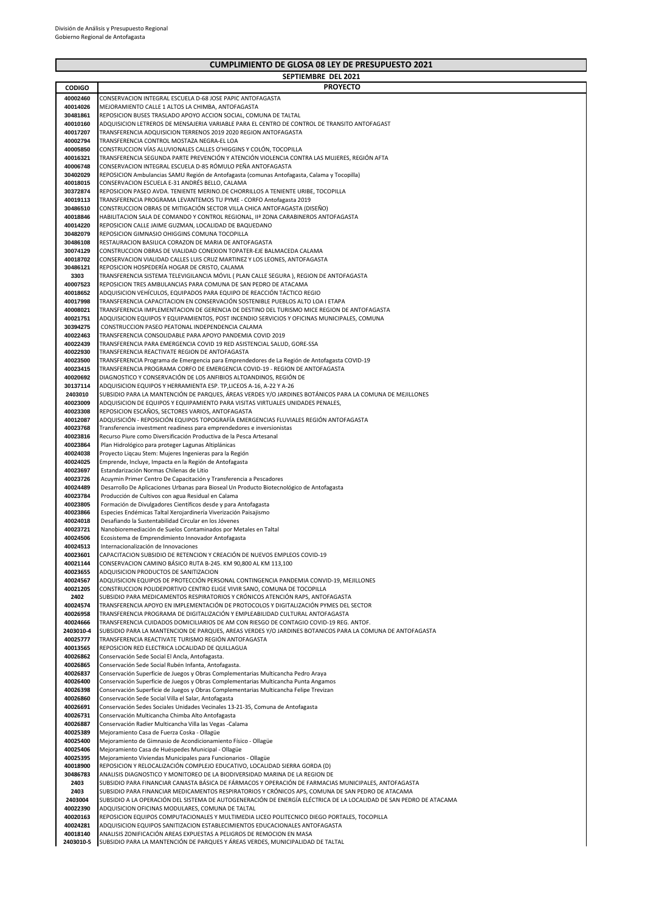$\overline{\phantom{a}}$ 

|                      | SEPTIEMBRE DEL 2021                                                                                                                                                         |
|----------------------|-----------------------------------------------------------------------------------------------------------------------------------------------------------------------------|
| <b>CODIGO</b>        | <b>PROYECTO</b>                                                                                                                                                             |
| 40002460             | CONSERVACION INTEGRAL ESCUELA D-68 JOSE PAPIC ANTOFAGASTA                                                                                                                   |
| 40014026             | MEJORAMIENTO CALLE 1 ALTOS LA CHIMBA, ANTOFAGASTA                                                                                                                           |
| 30481861             | REPOSICION BUSES TRASLADO APOYO ACCION SOCIAL, COMUNA DE TALTAL                                                                                                             |
| 40010160             | ADQUISICION LETREROS DE MENSAJERIA VARIABLE PARA EL CENTRO DE CONTROL DE TRANSITO ANTOFAGAST                                                                                |
| 40017207             | TRANSFERENCIA ADQUISICION TERRENOS 2019 2020 REGION ANTOFAGASTA                                                                                                             |
| 40002794<br>40005850 | TRANSFERENCIA CONTROL MOSTAZA NEGRA-EL LOA<br>CONSTRUCCION VÍAS ALUVIONALES CALLES O'HIGGINS Y COLÓN, TOCOPILLA                                                             |
| 40016321             | TRANSFERENCIA SEGUNDA PARTE PREVENCIÓN Y ATENCIÓN VIOLENCIA CONTRA LAS MUJERES, REGIÓN AFTA                                                                                 |
| 40006748             | CONSERVACION INTEGRAL ESCUELA D-85 RÓMULO PEÑA ANTOFAGASTA                                                                                                                  |
| 30402029             | REPOSICION Ambulancias SAMU Región de Antofagasta (comunas Antofagasta, Calama y Tocopilla)                                                                                 |
| 40018015             | CONSERVACION ESCUELA E-31 ANDRÉS BELLO, CALAMA                                                                                                                              |
| 30372874             | REPOSICION PASEO AVDA. TENIENTE MERINO.DE CHORRILLOS A TENIENTE URIBE, TOCOPILLA                                                                                            |
| 40019113             | TRANSFERENCIA PROGRAMA LEVANTEMOS TU PYME - CORFO Antofagasta 2019                                                                                                          |
| 30486510             | CONSTRUCCION OBRAS DE MITIGACIÓN SECTOR VILLA CHICA ANTOFAGASTA (DISEÑO)                                                                                                    |
| 40018846             | HABILITACION SALA DE COMANDO Y CONTROL REGIONAL, IIª ZONA CARABINEROS ANTOFAGASTA                                                                                           |
| 40014220             | REPOSICION CALLE JAIME GUZMAN, LOCALIDAD DE BAQUEDANO                                                                                                                       |
| 30482079             | REPOSICION GIMNASIO OHIGGINS COMUNA TOCOPILLA                                                                                                                               |
| 30486108             | RESTAURACION BASILICA CORAZON DE MARIA DE ANTOFAGASTA                                                                                                                       |
| 30074129<br>40018702 | CONSTRUCCION OBRAS DE VIALIDAD CONEXION TOPATER-EJE BALMACEDA CALAMA<br>CONSERVACION VIALIDAD CALLES LUIS CRUZ MARTINEZ Y LOS LEONES, ANTOFAGASTA                           |
| 30486121             | REPOSICION HOSPEDERÍA HOGAR DE CRISTO, CALAMA                                                                                                                               |
| 3303                 | TRANSFERENCIA SISTEMA TELEVIGILANCIA MÓVIL ( PLAN CALLE SEGURA ), REGION DE ANTOFAGASTA                                                                                     |
| 40007523             | REPOSICION TRES AMBULANCIAS PARA COMUNA DE SAN PEDRO DE ATACAMA                                                                                                             |
| 40018652             | ADQUISICION VEHÍCULOS, EQUIPADOS PARA EQUIPO DE REACCIÓN TÁCTICO REGIO                                                                                                      |
| 40017998             | TRANSFERENCIA CAPACITACION EN CONSERVACIÓN SOSTENIBLE PUEBLOS ALTO LOA I ETAPA                                                                                              |
| 40008021             | TRANSFERENCIA IMPLEMENTACION DE GERENCIA DE DESTINO DEL TURISMO MICE REGION DE ANTOFAGASTA                                                                                  |
| 40021751             | ADQUISICION EQUIPOS Y EQUIPAMIENTOS, POST INCENDIO SERVICIOS Y OFICINAS MUNICIPALES, COMUNA                                                                                 |
| 30394275             | CONSTRUCCION PASEO PEATONAL INDEPENDENCIA CALAMA                                                                                                                            |
| 40022463             | TRANSFERENCIA CONSOLIDABLE PARA APOYO PANDEMIA COVID 2019                                                                                                                   |
| 40022439             | TRANSFERENCIA PARA EMERGENCIA COVID 19 RED ASISTENCIAL SALUD, GORE-SSA                                                                                                      |
| 40022930             | TRANSFERENCIA REACTIVATE REGION DE ANTOFAGASTA                                                                                                                              |
| 40023500<br>40023415 | TRANSFERENCIA Programa de Emergencia para Emprendedores de La Región de Antofagasta COVID-19<br>TRANSFERENCIA PROGRAMA CORFO DE EMERGENCIA COVID-19 - REGION DE ANTOFAGASTA |
| 40020692             | DIAGNOSTICO Y CONSERVACIÓN DE LOS ANFIBIOS ALTOANDINOS, REGIÓN DE                                                                                                           |
| 30137114             | ADQUISICION EQUIPOS Y HERRAMIENTA ESP. TP,LICEOS A-16, A-22 Y A-26                                                                                                          |
| 2403010              | SUBSIDIO PARA LA MANTENCIÓN DE PARQUES, ÁREAS VERDES Y/O JARDINES BOTÁNICOS PARA LA COMUNA DE MEJILLONES                                                                    |
| 40023009             | ADQUISICION DE EQUIPOS Y EQUIPAMIENTO PARA VISITAS VIRTUALES UNIDADES PENALES,                                                                                              |
| 40023308             | REPOSICION ESCAÑOS, SECTORES VARIOS, ANTOFAGASTA                                                                                                                            |
| 40012087             | ADQUISICIÓN - REPOSICIÓN EQUIPOS TOPOGRAFÍA EMERGENCIAS FLUVIALES REGIÓN ANTOFAGASTA                                                                                        |
| 40023768             | Transferencia investment readiness para emprendedores e inversionistas                                                                                                      |
| 40023816             | Recurso Piure como Diversificación Productiva de la Pesca Artesanal                                                                                                         |
| 40023864             | Plan Hidrológico para proteger Lagunas Altiplánicas                                                                                                                         |
| 40024038             | Proyecto Ligcau Stem: Mujeres Ingenieras para la Región                                                                                                                     |
| 40024025<br>40023697 | Emprende, Incluye, Impacta en la Región de Antofagasta<br>Estandarización Normas Chilenas de Litio                                                                          |
| 40023726             | Acuymin Primer Centro De Capacitación y Transferencia a Pescadores                                                                                                          |
| 40024489             | Desarrollo De Aplicaciones Urbanas para Bioseal Un Producto Biotecnológico de Antofagasta                                                                                   |
| 40023784             | Producción de Cultivos con agua Residual en Calama                                                                                                                          |
| 40023805             | Formación de Divulgadores Científicos desde y para Antofagasta                                                                                                              |
| 40023866             | Especies Endémicas Taltal Xerojardinería Viverización Paisajismo                                                                                                            |
| 40024018             | Desafiando la Sustentabilidad Circular en los Jóvenes                                                                                                                       |
| 40023721             | Nanobioremediación de Suelos Contaminados por Metales en Taltal                                                                                                             |
| 40024506             | Ecosistema de Emprendimiento Innovador Antofagasta                                                                                                                          |
| 40024513             | Internacionalización de Innovaciones                                                                                                                                        |
| 40023601<br>40021144 | CAPACITACION SUBSIDIO DE RETENCION Y CREACIÓN DE NUEVOS EMPLEOS COVID-19                                                                                                    |
| 40023655             | CONSERVACION CAMINO BÁSICO RUTA B-245. KM 90,800 AL KM 113,100<br>ADQUISICION PRODUCTOS DE SANITIZACION                                                                     |
| 40024567             | ADQUISICION EQUIPOS DE PROTECCIÓN PERSONAL CONTINGENCIA PANDEMIA CONVID-19, MEJILLONES                                                                                      |
| 40021205             | CONSTRUCCION POLIDEPORTIVO CENTRO ELIGE VIVIR SANO, COMUNA DE TOCOPILLA                                                                                                     |
| 2402                 | SUBSIDIO PARA MEDICAMENTOS RESPIRATORIOS Y CRÓNICOS ATENCIÓN RAPS, ANTOFAGASTA                                                                                              |
| 40024574             | TRANSFERENCIA APOYO EN IMPLEMENTACIÓN DE PROTOCOLOS Y DIGITALIZACIÓN PYMES DEL SECTOR                                                                                       |
| 40026958             | TRANSFERENCIA PROGRAMA DE DIGITALIZACIÓN Y EMPLEABILIDAD CULTURAL ANTOFAGASTA                                                                                               |
| 40024666             | TRANSFERENCIA CUIDADOS DOMICILIARIOS DE AM CON RIESGO DE CONTAGIO COVID-19 REG. ANTOF.                                                                                      |
| 2403010-4            | SUBSIDIO PARA LA MANTENCION DE PARQUES. AREAS VERDES Y/O JARDINES BOTANICOS PARA LA COMUNA DE ANTOFAGASTA                                                                   |
| 40025777             | TRANSFERENCIA REACTIVATE TURISMO REGIÓN ANTOFAGASTA                                                                                                                         |
| 40013565             | REPOSICION RED ELECTRICA LOCALIDAD DE QUILLAGUA                                                                                                                             |
| 40026862             | Conservación Sede Social El Ancla, Antofagasta.                                                                                                                             |
| 40026865<br>40026837 | Conservación Sede Social Rubén Infanta, Antofagasta.<br>Conservación Superficie de Juegos y Obras Complementarias Multicancha Pedro Araya                                   |
| 40026400             | Conservación Superficie de Juegos y Obras Complementarias Multicancha Punta Angamos                                                                                         |
| 40026398             | Conservación Superficie de Juegos y Obras Complementarias Multicancha Felipe Trevizan                                                                                       |
| 40026860             | Conservación Sede Social Villa el Salar, Antofagasta                                                                                                                        |
| 40026691             | Conservación Sedes Sociales Unidades Vecinales 13-21-35, Comuna de Antofagasta                                                                                              |
| 40026731             | Conservación Multicancha Chimba Alto Antofagasta                                                                                                                            |
| 40026887             | Conservación Radier Multicancha Villa las Vegas -Calama                                                                                                                     |
| 40025389             | Mejoramiento Casa de Fuerza Coska - Ollagüe                                                                                                                                 |
| 40025400             | Mejoramiento de Gimnasio de Acondicionamiento Físico - Ollagüe                                                                                                              |
| 40025406             | Mejoramiento Casa de Huéspedes Municipal - Ollagüe                                                                                                                          |
| 40025395             | Mejoramiento Viviendas Municipales para Funcionarios - Ollagüe                                                                                                              |
| 40018900<br>30486783 | REPOSICION Y RELOCALIZACIÓN COMPLEJO EDUCATIVO, LOCALIDAD SIERRA GORDA (D)<br>ANALISIS DIAGNOSTICO Y MONITOREO DE LA BIODIVERSIDAD MARINA DE LA REGION DE                   |
| 2403                 | SUBSIDIO PARA FINANCIAR CANASTA BÁSICA DE FÁRMACOS Y OPERACIÓN DE FARMACIAS MUNICIPALES, ANTOFAGASTA                                                                        |
| 2403                 | SUBSIDIO PARA FINANCIAR MEDICAMENTOS RESPIRATORIOS Y CRÓNICOS APS, COMUNA DE SAN PEDRO DE ATACAMA                                                                           |
| 2403004              | SUBSIDIO A LA OPERACIÓN DEL SISTEMA DE AUTOGENERACIÓN DE ENERGÍA ELÉCTRICA DE LA LOCALIDAD DE SAN PEDRO DE ATACAMA                                                          |
| 40022390             | ADQUISICION OFICINAS MODULARES, COMUNA DE TALTAL                                                                                                                            |
| 40020163             | REPOSICION EQUIPOS COMPUTACIONALES Y MULTIMEDIA LICEO POLITECNICO DIEGO PORTALES, TOCOPILLA                                                                                 |
| 40024281             | ADQUISICION EQUIPOS SANITIZACION ESTABLECIMIENTOS EDUCACIONALES ANTOFAGASTA                                                                                                 |
| 40018140             | ANALISIS ZONIFICACIÓN AREAS EXPUESTAS A PELIGROS DE REMOCION EN MASA                                                                                                        |
| 2403010-5            | SUBSIDIO PARA LA MANTENCIÓN DE PARQUES Y ÁREAS VERDES, MUNICIPALIDAD DE TALTAL                                                                                              |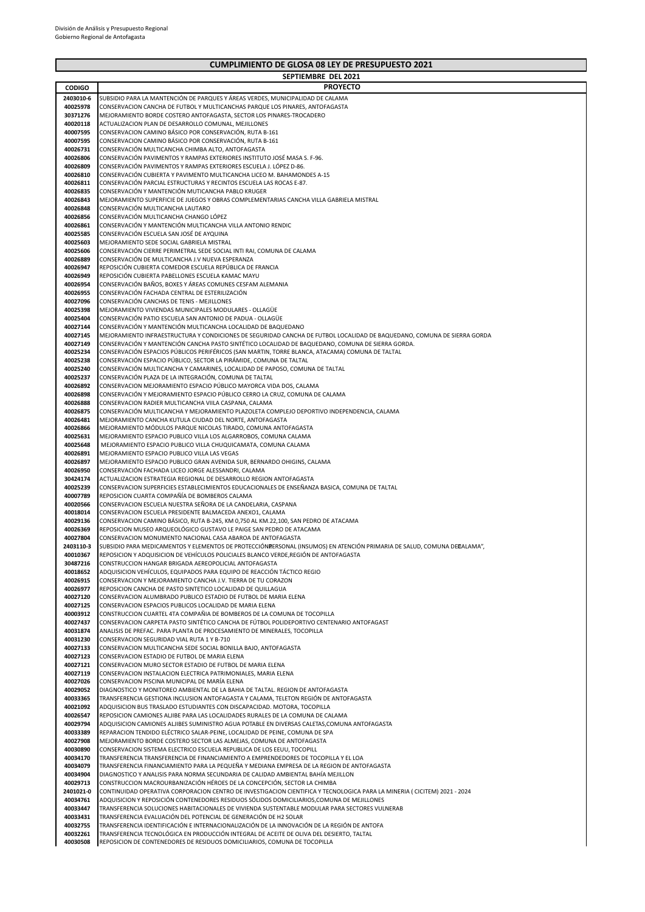|                       | <b>SEPTIEMBRE DEL 2021</b>                                                                                                                                                     |
|-----------------------|--------------------------------------------------------------------------------------------------------------------------------------------------------------------------------|
| <b>CODIGO</b>         | <b>PROYECTO</b>                                                                                                                                                                |
| 2403010-6             | SUBSIDIO PARA LA MANTENCIÓN DE PARQUES Y ÁREAS VERDES, MUNICIPALIDAD DE CALAMA                                                                                                 |
| 40025978              | CONSERVACION CANCHA DE FUTBOL Y MULTICANCHAS PARQUE LOS PINARES, ANTOFAGASTA                                                                                                   |
| 30371276              | MEJORAMIENTO BORDE COSTERO ANTOFAGASTA, SECTOR LOS PINARES-TROCADERO                                                                                                           |
| 40020118              | ACTUALIZACION PLAN DE DESARROLLO COMUNAL, MEJILLONES                                                                                                                           |
| 40007595              | CONSERVACION CAMINO BÁSICO POR CONSERVACIÓN, RUTA B-161                                                                                                                        |
| 40007595              | CONSERVACION CAMINO BÁSICO POR CONSERVACIÓN, RUTA B-161                                                                                                                        |
| 40026731<br>40026806  | CONSERVACIÓN MULTICANCHA CHIMBA ALTO, ANTOFAGASTA                                                                                                                              |
| 40026809              | CONSERVACIÓN PAVIMENTOS Y RAMPAS EXTERIORES INSTITUTO JOSÉ MASA S. F-96.<br>CONSERVACIÓN PAVIMENTOS Y RAMPAS EXTERIORES ESCUELA J. LÓPEZ D-86.                                 |
| 40026810              | CONSERVACIÓN CUBIERTA Y PAVIMENTO MULTICANCHA LICEO M. BAHAMONDES A-15                                                                                                         |
| 40026811              | CONSERVACIÓN PARCIAL ESTRUCTURAS Y RECINTOS ESCUELA LAS ROCAS E-87.                                                                                                            |
| 40026835              | CONSERVACIÓN Y MANTENCIÓN MUTICANCHA PABLO KRUGER                                                                                                                              |
| 40026843              | MEJORAMIENTO SUPERFICIE DE JUEGOS Y OBRAS COMPLEMENTARIAS CANCHA VILLA GABRIELA MISTRAL                                                                                        |
| 40026848              | CONSERVACIÓN MULTICANCHA LAUTARO                                                                                                                                               |
| 40026856              | CONSERVACIÓN MULTICANCHA CHANGO LÓPEZ                                                                                                                                          |
| 40026861              | CONSERVACIÓN Y MANTENCIÓN MULTICANCHA VILLA ANTONIO RENDIC                                                                                                                     |
| 40025585              | CONSERVACIÓN ESCUELA SAN JOSÉ DE AYQUINA                                                                                                                                       |
| 40025603              | MEJORAMIENTO SEDE SOCIAL GABRIELA MISTRAL                                                                                                                                      |
| 40025606<br>40026889  | CONSERVACIÓN CIERRE PERIMETRAL SEDE SOCIAL INTI RAI, COMUNA DE CALAMA                                                                                                          |
| 40026947              | CONSERVACIÓN DE MULTICANCHA J.V NUEVA ESPERANZA<br>REPOSICIÓN CUBIERTA COMEDOR ESCUELA REPÚBLICA DE FRANCIA                                                                    |
| 40026949              | REPOSICIÓN CUBIERTA PABELLONES ESCUELA KAMAC MAYU                                                                                                                              |
| 40026954              | CONSERVACIÓN BAÑOS, BOXES Y ÁREAS COMUNES CESFAM ALEMANIA                                                                                                                      |
| 40026955              | CONSERVACIÓN FACHADA CENTRAL DE ESTERILIZACIÓN                                                                                                                                 |
| 40027096              | CONSERVACIÓN CANCHAS DE TENIS - MEJILLONES                                                                                                                                     |
| 40025398              | MEJORAMIENTO VIVIENDAS MUNICIPALES MODULARES - OLLAGÜE                                                                                                                         |
| 40025404              | CONSERVACIÓN PATIO ESCUELA SAN ANTONIO DE PADUA - OLLAGÜE                                                                                                                      |
| 40027144              | CONSERVACIÓN Y MANTENCIÓN MULTICANCHA LOCALIDAD DE BAQUEDANO                                                                                                                   |
| 40027145              | MEJORAMIENTO INFRAESTRUCTURA Y CONDICIONES DE SEGURIDAD CANCHA DE FUTBOL LOCALIDAD DE BAQUEDANO, COMUNA DE SIERRA GORDA                                                        |
| 40027149              | CONSERVACIÓN Y MANTENCIÓN CANCHA PASTO SINTÉTICO LOCALIDAD DE BAQUEDANO, COMUNA DE SIERRA GORDA.                                                                               |
| 40025234              | CONSERVACIÓN ESPACIOS PÚBLICOS PERIFÉRICOS (SAN MARTIN, TORRE BLANCA, ATACAMA) COMUNA DE TALTAL<br>CONSERVACIÓN ESPACIO PÚBLICO, SECTOR LA PIRÁMIDE, COMUNA DE TALTAL          |
| 40025238<br>40025240  | CONSERVACIÓN MULTICANCHA Y CAMARINES, LOCALIDAD DE PAPOSO, COMUNA DE TALTAL                                                                                                    |
| 40025237              | CONSERVACIÓN PLAZA DE LA INTEGRACIÓN, COMUNA DE TALTAL                                                                                                                         |
| 40026892              | CONSERVACION MEJORAMIENTO ESPACIO PÚBLICO MAYORCA VIDA DOS, CALAMA                                                                                                             |
| 40026898              | CONSERVACIÓN Y MEJORAMIENTO ESPACIO PÚBLICO CERRO LA CRUZ, COMUNA DE CALAMA                                                                                                    |
| 40026888              | CONSERVACION RADIER MULTICANCHA VIILA CASPANA, CALAMA                                                                                                                          |
| 40026875              | CONSERVACIÓN MULTICANCHA Y MEJORAMIENTO PLAZOLETA COMPLEJO DEPORTIVO INDEPENDENCIA, CALAMA                                                                                     |
| 40026481              | MEJORAMIENTO CANCHA KUTULA CIUDAD DEL NORTE, ANTOFAGASTA                                                                                                                       |
| 40026866              | MEJORAMIENTO MÓDULOS PARQUE NICOLAS TIRADO, COMUNA ANTOFAGASTA                                                                                                                 |
| 40025631              | MEJORAMIENTO ESPACIO PUBLICO VILLA LOS ALGARROBOS, COMUNA CALAMA                                                                                                               |
| 40025648              | MEJORAMIENTO ESPACIO PUBLICO VILLA CHUQUICAMATA, COMUNA CALAMA                                                                                                                 |
| 40026891              | MEJORAMIENTO ESPACIO PUBLICO VILLA LAS VEGAS                                                                                                                                   |
| 40026897<br>40026950  | MEJORAMIENTO ESPACIO PUBLICO GRAN AVENIDA SUR, BERNARDO OHIGINS, CALAMA<br>CONSERVACIÓN FACHADA LICEO JORGE ALESSANDRI, CALAMA                                                 |
| 30424174              | ACTUALIZACION ESTRATEGIA REGIONAL DE DESARROLLO REGION ANTOFAGASTA                                                                                                             |
| 40025239              | CONSERVACION SUPERFICIES ESTABLECIMIENTOS EDUCACIONALES DE ENSEÑANZA BASICA, COMUNA DE TALTAL                                                                                  |
| 40007789              | REPOSICION CUARTA COMPAÑÍA DE BOMBEROS CALAMA                                                                                                                                  |
| 40020566              | CONSERVACION ESCUELA NUESTRA SEÑORA DE LA CANDELARIA, CASPANA                                                                                                                  |
| 40018014              | CONSERVACION ESCUELA PRESIDENTE BALMACEDA ANEXO1, CALAMA                                                                                                                       |
| 40029136              | CONSERVACION CAMINO BÁSICO, RUTA B-245, KM 0,750 AL KM.22,100, SAN PEDRO DE ATACAMA                                                                                            |
| 40026369              | REPOSICION MUSEO ARQUEOLÓGICO GUSTAVO LE PAIGE SAN PEDRO DE ATACAMA                                                                                                            |
| 40027804              | CONSERVACION MONUMENTO NACIONAL CASA ABAROA DE ANTOFAGASTA                                                                                                                     |
| 2403110-3<br>40010367 | SUBSIDIO PARA MEDICAMENTOS Y ELEMENTOS DE PROTECCIÓNEERSONAL (INSUMOS) EN ATENCIÓN PRIMARIA DE SALUD, COMUNA DECALAMA",                                                        |
| 30487216              | REPOSICION Y ADQUISICION DE VEHÍCULOS POLICIALES BLANCO VERDE, REGIÓN DE ANTOFAGASTA<br>CONSTRUCCION HANGAR BRIGADA AEREOPOLICIAL ANTOFAGASTA                                  |
| 40018652              | ADQUISICIÓN VEHÍCULOS, EQUIPADOS PARA EQUIPO DE REACCIÓN TÁCTICO REGIO                                                                                                         |
| 40026915              | CONSERVACION Y MEJORAMIENTO CANCHA J.V. TIERRA DE TU CORAZON                                                                                                                   |
| 40026977              | REPOSICION CANCHA DE PASTO SINTETICO LOCALIDAD DE QUILLAGUA                                                                                                                    |
| 40027120              | CONSERVACION ALUMBRADO PUBLICO ESTADIO DE FUTBOL DE MARIA ELENA                                                                                                                |
| 40027125              | CONSERVACION ESPACIOS PUBLICOS LOCALIDAD DE MARIA ELENA                                                                                                                        |
| 40003912              | CONSTRUCCION CUARTEL 4TA COMPAÑIA DE BOMBEROS DE LA COMUNA DE TOCOPILLA                                                                                                        |
| 40027437              | CONSERVACION CARPETA PASTO SINTÉTICO CANCHA DE FÚTBOL POLIDEPORTIVO CENTENARIO ANTOFAGAST                                                                                      |
| 40031874              | ANALISIS DE PREFAC. PARA PLANTA DE PROCESAMIENTO DE MINERALES, TOCOPILLA                                                                                                       |
| 40031230              | CONSERVACION SEGURIDAD VIAL RUTA 1 Y B-710                                                                                                                                     |
| 40027133              | CONSERVACION MULTICANCHA SEDE SOCIAL BONILLA BAJO, ANTOFAGASTA                                                                                                                 |
| 40027123<br>40027121  | CONSERVACION ESTADIO DE FUTBOL DE MARIA ELENA<br>CONSERVACION MURO SECTOR ESTADIO DE FUTBOL DE MARIA ELENA                                                                     |
| 40027119              | CONSERVACION INSTALACION ELECTRICA PATRIMONIALES, MARIA ELENA                                                                                                                  |
| 40027026              | CONSERVACION PISCINA MUNICIPAL DE MARÍA ELENA                                                                                                                                  |
| 40029052              | DIAGNOSTICO Y MONITOREO AMBIENTAL DE LA BAHIA DE TALTAL. REGION DE ANTOFAGASTA                                                                                                 |
| 40033365              | TRANSFERENCIA GESTIONA INCLUSION ANTOFAGASTA Y CALAMA, TELETON REGIÓN DE ANTOFAGASTA                                                                                           |
| 40021092              | ADQUISICION BUS TRASLADO ESTUDIANTES CON DISCAPACIDAD. MOTORA, TOCOPILLA                                                                                                       |
| 40026547              | REPOSICION CAMIONES ALJIBE PARA LAS LOCALIDADES RURALES DE LA COMUNA DE CALAMA                                                                                                 |
| 40029794              | ADQUISICION CAMIONES ALJIBES SUMINISTRO AGUA POTABLE EN DIVERSAS CALETAS,COMUNA ANTOFAGASTA                                                                                    |
| 40033389              | REPARACION TENDIDO ELÉCTRICO SALAR-PEINE, LOCALIDAD DE PEINE, COMUNA DE SPA                                                                                                    |
| 40027908              | MEJORAMIENTO BORDE COSTERO SECTOR LAS ALMEJAS, COMUNA DE ANTOFAGASTA                                                                                                           |
| 40030890              | CONSERVACION SISTEMA ELECTRICO ESCUELA REPUBLICA DE LOS EEUU, TOCOPILL                                                                                                         |
| 40034170<br>40034079  | TRANSFERENCIA TRANSFERENCIA DE FINANCIAMIENTO A EMPRENDEDORES DE TOCOPILLA Y EL LOA                                                                                            |
| 40034904              | TRANSFERENCIA FINANCIAMIENTO PARA LA PEQUEÑA Y MEDIANA EMPRESA DE LA REGION DE ANTOFAGASTA<br>DIAGNOSTICO Y ANALISIS PARA NORMA SECUNDARIA DE CALIDAD AMBIENTAL BAHÍA MEJILLON |
| 40029713              | CONSTRUCCION MACROURBANIZACIÓN HÉROES DE LA CONCEPCIÓN, SECTOR LA CHIMBA                                                                                                       |
| 2401021-0             | CONTINUIDAD OPERATIVA CORPORACION CENTRO DE INVESTIGACION CIENTIFICA Y TECNOLOGICA PARA LA MINERIA ( CICITEM) 2021 - 2024                                                      |
| 40034761              | ADQUISICION Y REPOSICIÓN CONTENEDORES RESIDUOS SÓLIDOS DOMICILIARIOS, COMUNA DE MEJILLONES                                                                                     |
| 40033447              | TRANSFERENCIA SOLUCIONES HABITACIONALES DE VIVIENDA SUSTENTABLE MODULAR PARA SECTORES VULNERAB                                                                                 |
| 40033431              | TRANSFERENCIA EVALUACIÓN DEL POTENCIAL DE GENERACIÓN DE H2 SOLAR                                                                                                               |
| 40032755              | TRANSFERENCIA IDENTIFICACIÓN E INTERNACIONALIZACIÓN DE LA INNOVACIÓN DE LA REGIÓN DE ANTOFA                                                                                    |
| 40032261              | TRANSFERENCIA TECNOLÓGICA EN PRODUCCIÓN INTEGRAL DE ACEITE DE OLIVA DEL DESIERTO, TALTAL                                                                                       |
| 40030508              | REPOSICION DE CONTENEDORES DE RESIDUOS DOMICILIARIOS, COMUNA DE TOCOPILLA                                                                                                      |